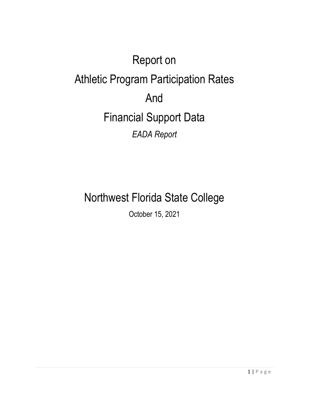# Report on Athletic Program Participation Rates And Financial Support Data *EADA Report*

## Northwest Florida State College

October 15, 2021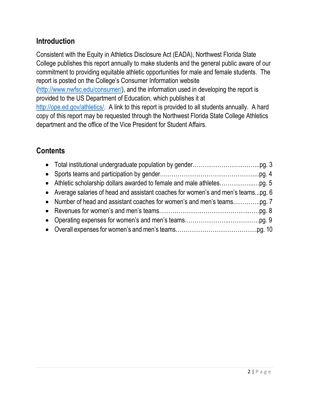#### **Introduction**

Consistent with the Equity in Athletics Disclosure Act (EADA), Northwest Florida State College publishes this report annually to make students and the general public aware of our commitment to providing equitable athletic opportunities for male and female students. The report is posted on the College's Consumer Information website

[\(http://www.nwfsc.edu/consumer/\)](http://www.nwfsc.edu/consumer/), and the information used in developing the report is provided to the US Department of Education, which publishes it at

[http://ope.ed.gov/athletics/.](http://ope.ed.gov/athletics/) A link to this report is provided to all students annually. A hard copy of this report may be requested through the Northwest Florida State College Athletics department and the office of the Vice President for Student Affairs.

#### **Contents**

| • Average salaries of head and assistant coaches for women's and men's teamspg. 6 |  |
|-----------------------------------------------------------------------------------|--|
|                                                                                   |  |
|                                                                                   |  |
|                                                                                   |  |
|                                                                                   |  |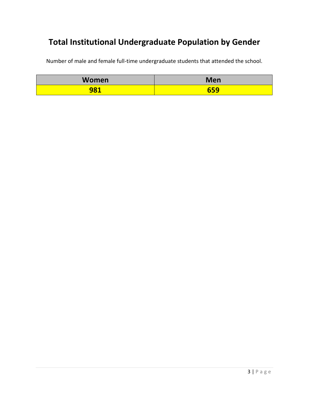## **Total Institutional Undergraduate Population by Gender**

Number of male and female full-time undergraduate students that attended the school.

| Women | <b>Men</b>        |
|-------|-------------------|
| 981   | rrn<br><u>UJJ</u> |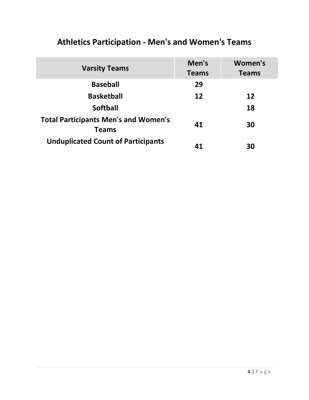| <b>Varsity Teams</b>                                        | Men's<br><b>Teams</b> | Women's<br><b>Teams</b> |
|-------------------------------------------------------------|-----------------------|-------------------------|
| <b>Baseball</b>                                             | 29                    |                         |
| <b>Basketball</b>                                           | 12                    | 12                      |
| <b>Softball</b>                                             |                       | 18                      |
| <b>Total Participants Men's and Women's</b><br><b>Teams</b> | 41                    | 30                      |
| <b>Unduplicated Count of Participants</b>                   | 41                    | 30                      |

## **Athletics Participation - Men's and Women's Teams**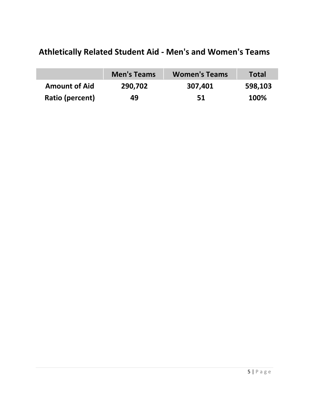## **Athletically Related Student Aid - Men's and Women's Teams**

|                      | <b>Men's Teams</b> | <b>Women's Teams</b> | <b>Total</b> |
|----------------------|--------------------|----------------------|--------------|
| <b>Amount of Aid</b> | 290,702            | 307,401              | 598,103      |
| Ratio (percent)      | 49                 | 51                   | 100%         |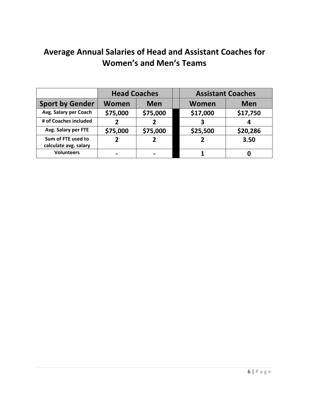## **Average Annual Salaries of Head and Assistant Coaches for Women's and Men's Teams**

|                                             | <b>Head Coaches</b>        |          |  | <b>Assistant Coaches</b> |            |
|---------------------------------------------|----------------------------|----------|--|--------------------------|------------|
| <b>Sport by Gender</b>                      | <b>Women</b><br><b>Men</b> |          |  | Women                    | <b>Men</b> |
| Avg. Salary per Coach                       | \$75,000                   | \$75,000 |  | \$17,000                 | \$17,750   |
| # of Coaches included                       | 2                          |          |  | 3                        |            |
| Avg. Salary per FTE                         | \$75,000                   | \$75,000 |  | \$25,500                 | \$20,286   |
| Sum of FTE used to<br>calculate avg. salary |                            |          |  |                          | 3.50       |
| <b>Volunteers</b>                           |                            |          |  |                          |            |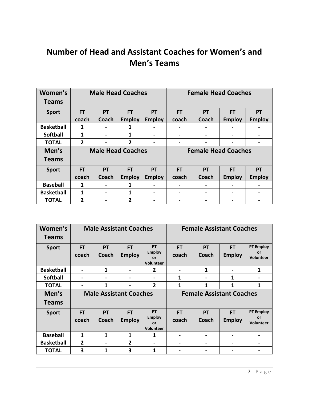#### **Number of Head and Assistant Coaches for Women's and Men's Teams**

| Women's<br><b>Teams</b> | <b>Male Head Coaches</b> |                |                | <b>Female Head Coaches</b> |                |           |                            |                |
|-------------------------|--------------------------|----------------|----------------|----------------------------|----------------|-----------|----------------------------|----------------|
| <b>Sport</b>            | <b>FT</b>                | <b>PT</b>      | <b>FT</b>      | <b>PT</b>                  | <b>FT</b>      | <b>PT</b> | <b>FT</b>                  | <b>PT</b>      |
|                         | coach                    | Coach          | <b>Employ</b>  | <b>Employ</b>              | coach          | Coach     | <b>Employ</b>              | <b>Employ</b>  |
| <b>Basketball</b>       | 1                        |                |                |                            |                |           |                            |                |
| <b>Softball</b>         | 1                        | $\blacksquare$ | 1              | $\blacksquare$             | $\blacksquare$ |           | -                          | $\blacksquare$ |
| <b>TOTAL</b>            | $\overline{2}$           |                | $\overline{2}$ | $\blacksquare$             | $\blacksquare$ |           | $\blacksquare$             |                |
|                         | <b>Male Head Coaches</b> |                |                |                            |                |           |                            |                |
| Men's                   |                          |                |                |                            |                |           | <b>Female Head Coaches</b> |                |
| <b>Teams</b>            |                          |                |                |                            |                |           |                            |                |
| <b>Sport</b>            | <b>FT</b>                | <b>PT</b>      | <b>FT</b>      | <b>PT</b>                  | <b>FT</b>      | <b>PT</b> | <b>FT</b>                  | <b>PT</b>      |
|                         | coach                    | Coach          | <b>Employ</b>  | <b>Employ</b>              | coach          | Coach     | <b>Employ</b>              | <b>Employ</b>  |
| <b>Baseball</b>         | 1                        | $\blacksquare$ | 1              |                            |                |           |                            |                |
| <b>Basketball</b>       | 1                        | $\blacksquare$ | 1              | $\blacksquare$             | $\blacksquare$ |           | $\blacksquare$             |                |

| Women's<br><b>Teams</b> | <b>Male Assistant Coaches</b> |                    |                            | <b>Female Assistant Coaches</b>                      |                    |                    |                                 |                                            |
|-------------------------|-------------------------------|--------------------|----------------------------|------------------------------------------------------|--------------------|--------------------|---------------------------------|--------------------------------------------|
| <b>Sport</b>            | <b>FT</b><br>coach            | <b>PT</b><br>Coach | <b>FT</b><br><b>Employ</b> | <b>PT</b><br><b>Employ</b><br>or<br><b>Volunteer</b> | <b>FT</b><br>coach | PT<br>Coach        | <b>FT</b><br><b>Employ</b>      | <b>PT Employ</b><br>or<br><b>Volunteer</b> |
| <b>Basketball</b>       | $\blacksquare$                | 1                  |                            | 2                                                    | $\blacksquare$     | 1                  | $\blacksquare$                  | 1                                          |
| <b>Softball</b>         |                               | $\blacksquare$     |                            | -                                                    | 1                  |                    | 1                               | $\blacksquare$                             |
| <b>TOTAL</b>            |                               | 1                  |                            | 2                                                    | 1                  | 1                  | 1                               | 1                                          |
|                         | <b>Male Assistant Coaches</b> |                    |                            |                                                      |                    |                    |                                 |                                            |
| Men's<br><b>Teams</b>   |                               |                    |                            |                                                      |                    |                    | <b>Female Assistant Coaches</b> |                                            |
| <b>Sport</b>            | <b>FT</b><br>coach            | <b>PT</b><br>Coach | <b>FT</b><br><b>Employ</b> | <b>PT</b><br><b>Employ</b><br>or<br>Volunteer        | <b>FT</b><br>coach | <b>PT</b><br>Coach | <b>FT</b><br><b>Employ</b>      | <b>PT Employ</b><br>or<br><b>Volunteer</b> |
| <b>Baseball</b>         | 1                             | 1                  | 1                          | 1                                                    | $\blacksquare$     |                    | -                               | -                                          |
| <b>Basketball</b>       | $\overline{2}$                |                    | $\overline{2}$             | -                                                    |                    |                    |                                 | $\blacksquare$                             |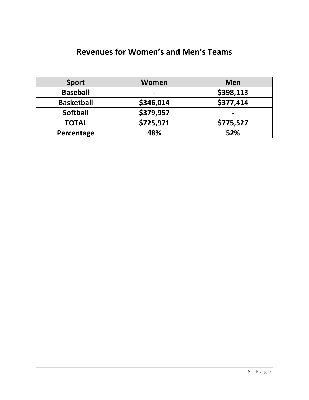#### **Revenues for Women's and Men's Teams**

| <b>Sport</b>      | Women     | <b>Men</b> |
|-------------------|-----------|------------|
| <b>Baseball</b>   | -         | \$398,113  |
| <b>Basketball</b> | \$346,014 | \$377,414  |
| <b>Softball</b>   | \$379,957 |            |
| <b>TOTAL</b>      | \$725,971 | \$775,527  |
| Percentage        | 48%       | 52%        |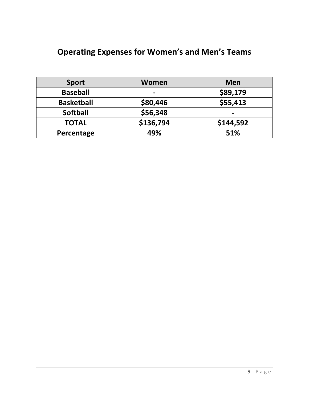## **Operating Expenses for Women's and Men's Teams**

| <b>Sport</b>      | Women     | <b>Men</b> |
|-------------------|-----------|------------|
| <b>Baseball</b>   | -         | \$89,179   |
| <b>Basketball</b> | \$80,446  | \$55,413   |
| <b>Softball</b>   | \$56,348  | -          |
| <b>TOTAL</b>      | \$136,794 | \$144,592  |
| Percentage        | 49%       | 51%        |